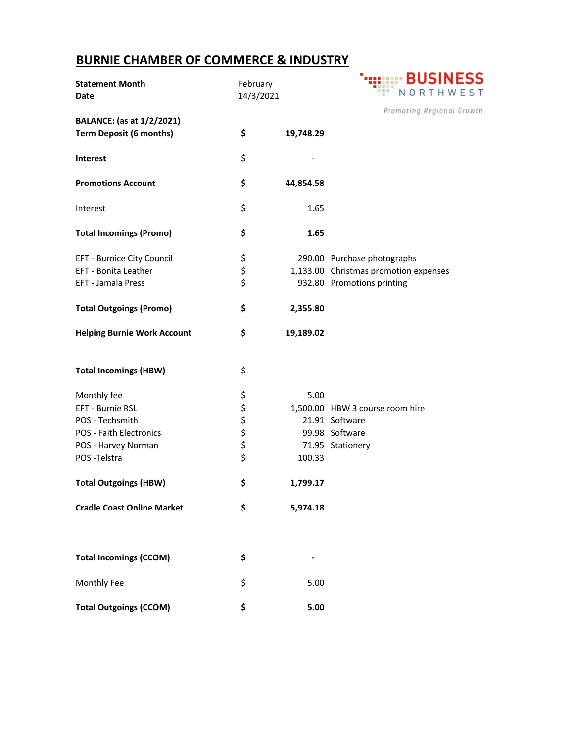## **BURNIE CHAMBER OF COMMERCE & INDUSTRY**

| <b>Statement Month</b><br><b>Date</b> | February<br>14/3/2021 |           | NORTHWEST                             |
|---------------------------------------|-----------------------|-----------|---------------------------------------|
|                                       |                       |           | Promoting Regional Growth             |
| <b>BALANCE:</b> (as at 1/2/2021)      |                       |           |                                       |
| <b>Term Deposit (6 months)</b>        | \$                    | 19,748.29 |                                       |
| <b>Interest</b>                       | \$                    |           |                                       |
| <b>Promotions Account</b>             | \$                    | 44,854.58 |                                       |
| Interest                              | \$                    | 1.65      |                                       |
| <b>Total Incomings (Promo)</b>        | \$                    | 1.65      |                                       |
| EFT - Burnice City Council            | \$                    |           | 290.00 Purchase photographs           |
| EFT - Bonita Leather                  | \$                    |           | 1,133.00 Christmas promotion expenses |
| EFT - Jamala Press                    | \$                    |           | 932.80 Promotions printing            |
| <b>Total Outgoings (Promo)</b>        | \$                    | 2,355.80  |                                       |
| <b>Helping Burnie Work Account</b>    | \$                    | 19,189.02 |                                       |
| <b>Total Incomings (HBW)</b>          | \$                    |           |                                       |
| Monthly fee                           |                       | 5.00      |                                       |
| EFT - Burnie RSL                      | ややや                   |           | 1,500.00 HBW 3 course room hire       |
| POS - Techsmith                       |                       |           | 21.91 Software                        |
| POS - Faith Electronics               |                       |           | 99.98 Software                        |
| POS - Harvey Norman                   | \$                    |           | 71.95 Stationery                      |
| POS-Telstra                           | \$                    | 100.33    |                                       |
| <b>Total Outgoings (HBW)</b>          | \$                    | 1,799.17  |                                       |
| <b>Cradle Coast Online Market</b>     | \$                    | 5,974.18  |                                       |
|                                       |                       |           |                                       |
| <b>Total Incomings (CCOM)</b>         | \$                    |           |                                       |
| Monthly Fee                           | \$                    | 5.00      |                                       |
| <b>Total Outgoings (CCOM)</b>         | \$                    | 5.00      |                                       |